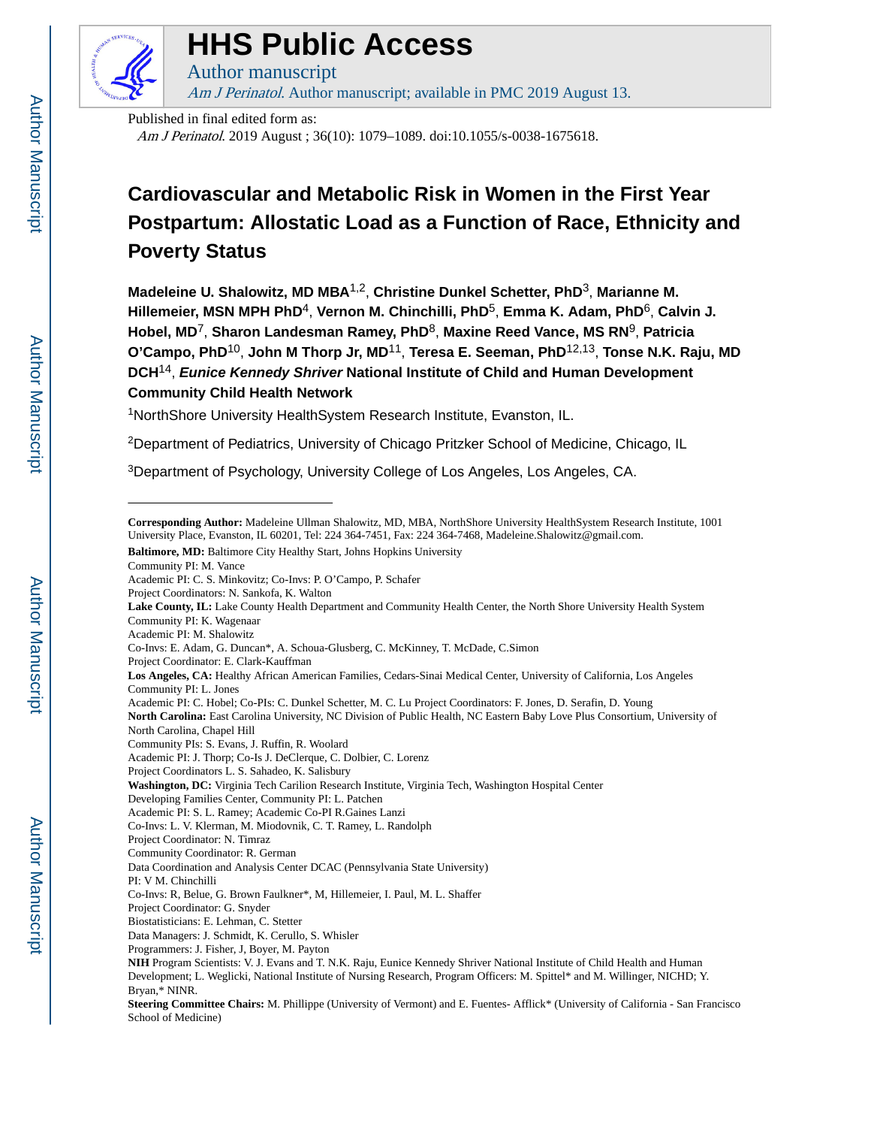

# **HHS Public Access**

Author manuscript Am J Perinatol. Author manuscript; available in PMC 2019 August 13.

Published in final edited form as:

Am J Perinatol. 2019 August ; 36(10): 1079–1089. doi:10.1055/s-0038-1675618.

## **Cardiovascular and Metabolic Risk in Women in the First Year Postpartum: Allostatic Load as a Function of Race, Ethnicity and Poverty Status**

**Madeleine U. Shalowitz, MD MBA**1,2, **Christine Dunkel Schetter, PhD**3, **Marianne M. Hillemeier, MSN MPH PhD**4, **Vernon M. Chinchilli, PhD**5, **Emma K. Adam, PhD**6, **Calvin J. Hobel, MD**7, **Sharon Landesman Ramey, PhD**8, **Maxine Reed Vance, MS RN**9, **Patricia O'Campo, PhD**10, **John M Thorp Jr, MD**11, **Teresa E. Seeman, PhD**12,13, **Tonse N.K. Raju, MD DCH**14, **Eunice Kennedy Shriver National Institute of Child and Human Development Community Child Health Network**

<sup>1</sup>NorthShore University HealthSystem Research Institute, Evanston, IL.

<sup>2</sup>Department of Pediatrics, University of Chicago Pritzker School of Medicine, Chicago, IL

<sup>3</sup>Department of Psychology, University College of Los Angeles, Los Angeles, CA.

Community PI: M. Vance

Project Coordinators: N. Sankofa, K. Walton

- Academic PI: M. Shalowitz
- 
- Co-Invs: E. Adam, G. Duncan\*, A. Schoua-Glusberg, C. McKinney, T. McDade, C.Simon
- Project Coordinator: E. Clark-Kauffman

Community PIs: S. Evans, J. Ruffin, R. Woolard

- Co-Invs: L. V. Klerman, M. Miodovnik, C. T. Ramey, L. Randolph
- Project Coordinator: N. Timraz
- Community Coordinator: R. German
- Data Coordination and Analysis Center DCAC (Pennsylvania State University)
- PI: V M. Chinchilli
- Co-Invs: R, Belue, G. Brown Faulkner\*, M, Hillemeier, I. Paul, M. L. Shaffer
- Project Coordinator: G. Snyder
- Biostatisticians: E. Lehman, C. Stetter
- Data Managers: J. Schmidt, K. Cerullo, S. Whisler
- Programmers: J. Fisher, J, Boyer, M. Payton

**Corresponding Author:** Madeleine Ullman Shalowitz, MD, MBA, NorthShore University HealthSystem Research Institute, 1001 University Place, Evanston, IL 60201, Tel: 224 364-7451, Fax: 224 364-7468, Madeleine.Shalowitz@gmail.com.

**Baltimore, MD:** Baltimore City Healthy Start, Johns Hopkins University

Academic PI: C. S. Minkovitz; Co-Invs: P. O'Campo, P. Schafer

**Lake County, IL:** Lake County Health Department and Community Health Center, the North Shore University Health System Community PI: K. Wagenaar

**Los Angeles, CA:** Healthy African American Families, Cedars-Sinai Medical Center, University of California, Los Angeles Community PI: L. Jones

Academic PI: C. Hobel; Co-PIs: C. Dunkel Schetter, M. C. Lu Project Coordinators: F. Jones, D. Serafin, D. Young

**North Carolina:** East Carolina University, NC Division of Public Health, NC Eastern Baby Love Plus Consortium, University of North Carolina, Chapel Hill

Academic PI: J. Thorp; Co-Is J. DeClerque, C. Dolbier, C. Lorenz

Project Coordinators L. S. Sahadeo, K. Salisbury

**Washington, DC:** Virginia Tech Carilion Research Institute, Virginia Tech, Washington Hospital Center

Developing Families Center, Community PI: L. Patchen

Academic PI: S. L. Ramey; Academic Co-PI R.Gaines Lanzi

**NIH** Program Scientists: V. J. Evans and T. N.K. Raju, Eunice Kennedy Shriver National Institute of Child Health and Human Development; L. Weglicki, National Institute of Nursing Research, Program Officers: M. Spittel\* and M. Willinger, NICHD; Y. Bryan,\* NINR.

**Steering Committee Chairs:** M. Phillippe (University of Vermont) and E. Fuentes- Afflick\* (University of California - San Francisco School of Medicine)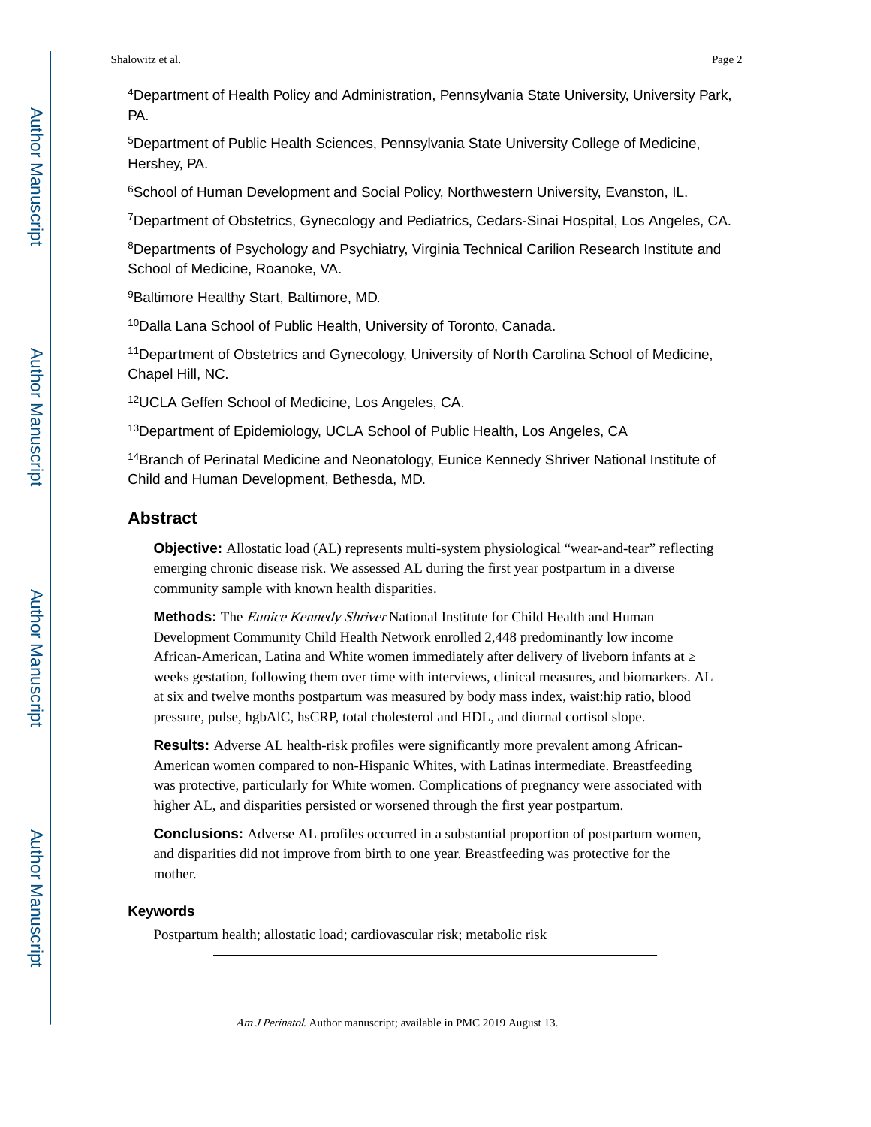<sup>4</sup>Department of Health Policy and Administration, Pennsylvania State University, University Park, PA.

<sup>5</sup>Department of Public Health Sciences, Pennsylvania State University College of Medicine, Hershey, PA.

<sup>6</sup>School of Human Development and Social Policy, Northwestern University, Evanston, IL.

<sup>7</sup>Department of Obstetrics, Gynecology and Pediatrics, Cedars-Sinai Hospital, Los Angeles, CA.

<sup>8</sup>Departments of Psychology and Psychiatry, Virginia Technical Carilion Research Institute and School of Medicine, Roanoke, VA.

<sup>9</sup>Baltimore Healthy Start, Baltimore, MD.

<sup>10</sup>Dalla Lana School of Public Health, University of Toronto, Canada.

<sup>11</sup>Department of Obstetrics and Gynecology, University of North Carolina School of Medicine, Chapel Hill, NC.

<sup>12</sup>UCLA Geffen School of Medicine, Los Angeles, CA.

<sup>13</sup>Department of Epidemiology, UCLA School of Public Health, Los Angeles, CA

<sup>14</sup>Branch of Perinatal Medicine and Neonatology, Eunice Kennedy Shriver National Institute of Child and Human Development, Bethesda, MD.

## **Abstract**

**Objective:** Allostatic load (AL) represents multi-system physiological "wear-and-tear" reflecting emerging chronic disease risk. We assessed AL during the first year postpartum in a diverse community sample with known health disparities.

**Methods:** The Eunice Kennedy Shriver National Institute for Child Health and Human Development Community Child Health Network enrolled 2,448 predominantly low income African-American, Latina and White women immediately after delivery of liveborn infants at weeks gestation, following them over time with interviews, clinical measures, and biomarkers. AL at six and twelve months postpartum was measured by body mass index, waist:hip ratio, blood pressure, pulse, hgbAlC, hsCRP, total cholesterol and HDL, and diurnal cortisol slope.

**Results:** Adverse AL health-risk profiles were significantly more prevalent among African-American women compared to non-Hispanic Whites, with Latinas intermediate. Breastfeeding was protective, particularly for White women. Complications of pregnancy were associated with higher AL, and disparities persisted or worsened through the first year postpartum.

**Conclusions:** Adverse AL profiles occurred in a substantial proportion of postpartum women, and disparities did not improve from birth to one year. Breastfeeding was protective for the mother.

#### **Keywords**

Postpartum health; allostatic load; cardiovascular risk; metabolic risk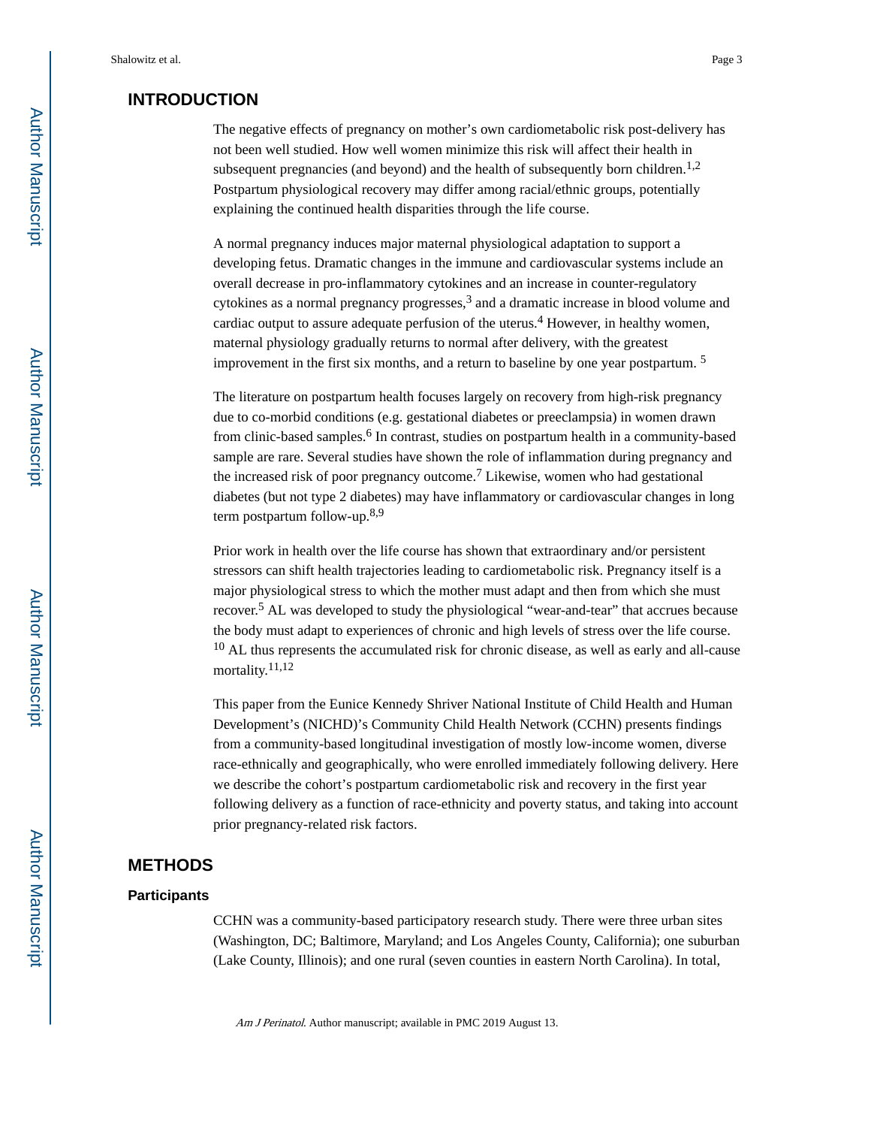## **INTRODUCTION**

The negative effects of pregnancy on mother's own cardiometabolic risk post-delivery has not been well studied. How well women minimize this risk will affect their health in subsequent pregnancies (and beyond) and the health of subsequently born children.<sup>1,2</sup> Postpartum physiological recovery may differ among racial/ethnic groups, potentially explaining the continued health disparities through the life course.

A normal pregnancy induces major maternal physiological adaptation to support a developing fetus. Dramatic changes in the immune and cardiovascular systems include an overall decrease in pro-inflammatory cytokines and an increase in counter-regulatory cytokines as a normal pregnancy progresses, $3$  and a dramatic increase in blood volume and cardiac output to assure adequate perfusion of the uterus.<sup>4</sup> However, in healthy women, maternal physiology gradually returns to normal after delivery, with the greatest improvement in the first six months, and a return to baseline by one year postpartum.<sup>5</sup>

The literature on postpartum health focuses largely on recovery from high-risk pregnancy due to co-morbid conditions (e.g. gestational diabetes or preeclampsia) in women drawn from clinic-based samples.<sup>6</sup> In contrast, studies on postpartum health in a community-based sample are rare. Several studies have shown the role of inflammation during pregnancy and the increased risk of poor pregnancy outcome.<sup>7</sup> Likewise, women who had gestational diabetes (but not type 2 diabetes) may have inflammatory or cardiovascular changes in long term postpartum follow-up.<sup>8,9</sup>

Prior work in health over the life course has shown that extraordinary and/or persistent stressors can shift health trajectories leading to cardiometabolic risk. Pregnancy itself is a major physiological stress to which the mother must adapt and then from which she must recover.<sup>5</sup> AL was developed to study the physiological "wear-and-tear" that accrues because the body must adapt to experiences of chronic and high levels of stress over the life course.  $10$  AL thus represents the accumulated risk for chronic disease, as well as early and all-cause mortality.<sup>11,12</sup>

This paper from the Eunice Kennedy Shriver National Institute of Child Health and Human Development's (NICHD)'s Community Child Health Network (CCHN) presents findings from a community-based longitudinal investigation of mostly low-income women, diverse race-ethnically and geographically, who were enrolled immediately following delivery. Here we describe the cohort's postpartum cardiometabolic risk and recovery in the first year following delivery as a function of race-ethnicity and poverty status, and taking into account prior pregnancy-related risk factors.

## **METHODS**

#### **Participants**

CCHN was a community-based participatory research study. There were three urban sites (Washington, DC; Baltimore, Maryland; and Los Angeles County, California); one suburban (Lake County, Illinois); and one rural (seven counties in eastern North Carolina). In total,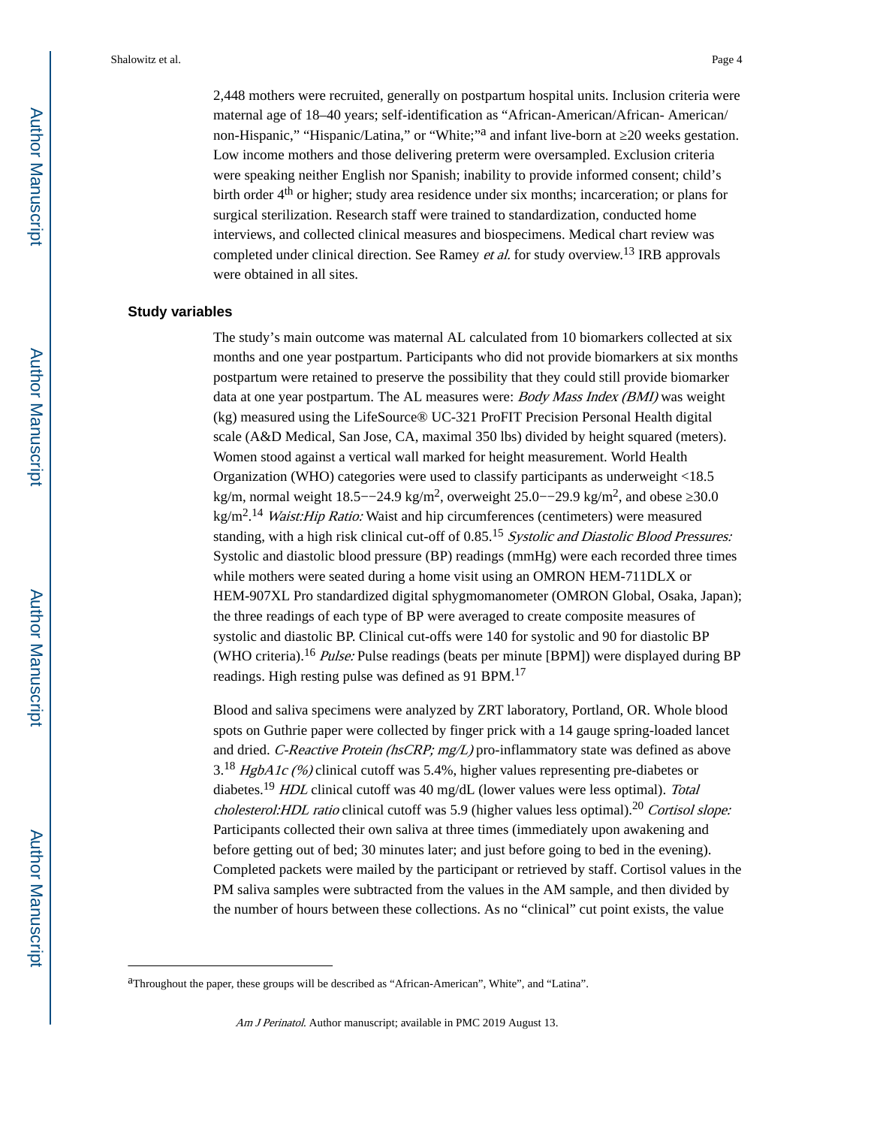2,448 mothers were recruited, generally on postpartum hospital units. Inclusion criteria were maternal age of 18–40 years; self-identification as "African-American/African- American/ non-Hispanic," "Hispanic/Latina," or "White;"<sup>a</sup> and infant live-born at 20 weeks gestation. Low income mothers and those delivering preterm were oversampled. Exclusion criteria were speaking neither English nor Spanish; inability to provide informed consent; child's birth order 4<sup>th</sup> or higher; study area residence under six months; incarceration; or plans for surgical sterilization. Research staff were trained to standardization, conducted home interviews, and collected clinical measures and biospecimens. Medical chart review was completed under clinical direction. See Ramey et al. for study overview.13 IRB approvals were obtained in all sites.

#### **Study variables**

The study's main outcome was maternal AL calculated from 10 biomarkers collected at six months and one year postpartum. Participants who did not provide biomarkers at six months postpartum were retained to preserve the possibility that they could still provide biomarker data at one year postpartum. The AL measures were: *Body Mass Index (BMI)* was weight (kg) measured using the LifeSource® UC-321 ProFIT Precision Personal Health digital scale (A&D Medical, San Jose, CA, maximal 350 lbs) divided by height squared (meters). Women stood against a vertical wall marked for height measurement. World Health Organization (WHO) categories were used to classify participants as underweight <18.5 kg/m, normal weight 18.5––24.9 kg/m<sup>2</sup>, overweight 25.0––29.9 kg/m<sup>2</sup>, and obese 30.0 kg/m<sup>2</sup>.<sup>14</sup> *Waist:Hip Ratio:* Waist and hip circumferences (centimeters) were measured standing, with a high risk clinical cut-off of 0.85.<sup>15</sup> Systolic and Diastolic Blood Pressures: Systolic and diastolic blood pressure (BP) readings (mmHg) were each recorded three times while mothers were seated during a home visit using an OMRON HEM-711DLX or HEM-907XL Pro standardized digital sphygmomanometer (OMRON Global, Osaka, Japan); the three readings of each type of BP were averaged to create composite measures of systolic and diastolic BP. Clinical cut-offs were 140 for systolic and 90 for diastolic BP (WHO criteria).<sup>16</sup> Pulse: Pulse readings (beats per minute [BPM]) were displayed during BP readings. High resting pulse was defined as 91 BPM.<sup>17</sup>

Blood and saliva specimens were analyzed by ZRT laboratory, Portland, OR. Whole blood spots on Guthrie paper were collected by finger prick with a 14 gauge spring-loaded lancet and dried. C-Reactive Protein (hsCRP; mg/L) pro-inflammatory state was defined as above  $3^{18}$  HgbA1c (%) clinical cutoff was 5.4%, higher values representing pre-diabetes or diabetes.<sup>19</sup> HDL clinical cutoff was 40 mg/dL (lower values were less optimal). Total cholesterol: HDL ratio clinical cutoff was 5.9 (higher values less optimal).<sup>20</sup> Cortisol slope: Participants collected their own saliva at three times (immediately upon awakening and before getting out of bed; 30 minutes later; and just before going to bed in the evening). Completed packets were mailed by the participant or retrieved by staff. Cortisol values in the PM saliva samples were subtracted from the values in the AM sample, and then divided by the number of hours between these collections. As no "clinical" cut point exists, the value

aThroughout the paper, these groups will be described as "African-American", White", and "Latina".

Am J Perinatol. Author manuscript; available in PMC 2019 August 13.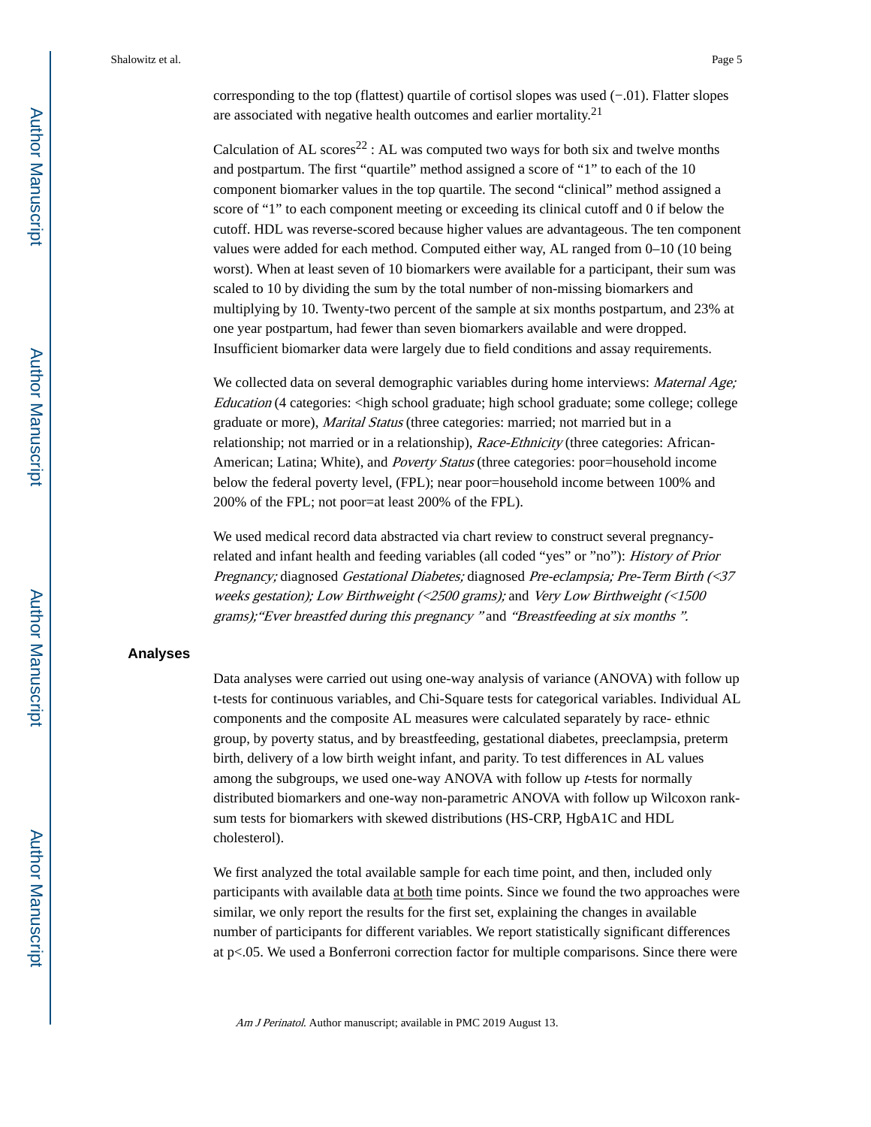corresponding to the top (flattest) quartile of cortisol slopes was used (−.01). Flatter slopes are associated with negative health outcomes and earlier mortality. $2<sup>1</sup>$ 

Calculation of AL scores<sup>22</sup> : AL was computed two ways for both six and twelve months and postpartum. The first "quartile" method assigned a score of "1" to each of the 10 component biomarker values in the top quartile. The second "clinical" method assigned a score of "1" to each component meeting or exceeding its clinical cutoff and 0 if below the cutoff. HDL was reverse-scored because higher values are advantageous. The ten component values were added for each method. Computed either way, AL ranged from 0–10 (10 being worst). When at least seven of 10 biomarkers were available for a participant, their sum was scaled to 10 by dividing the sum by the total number of non-missing biomarkers and multiplying by 10. Twenty-two percent of the sample at six months postpartum, and 23% at one year postpartum, had fewer than seven biomarkers available and were dropped. Insufficient biomarker data were largely due to field conditions and assay requirements.

We collected data on several demographic variables during home interviews: *Maternal Age*; Education (4 categories:  $\langle$ high school graduate; high school graduate; some college; college graduate or more), Marital Status (three categories: married; not married but in a relationship; not married or in a relationship), *Race-Ethnicity* (three categories: African-American; Latina; White), and *Poverty Status* (three categories: poor=household income below the federal poverty level, (FPL); near poor=household income between 100% and 200% of the FPL; not poor=at least 200% of the FPL).

We used medical record data abstracted via chart review to construct several pregnancyrelated and infant health and feeding variables (all coded "yes" or "no"): History of Prior Pregnancy; diagnosed Gestational Diabetes; diagnosed Pre-eclampsia; Pre-Term Birth (<37 weeks gestation); Low Birthweight (<2500 grams); and Very Low Birthweight (<1500 grams);"Ever breastfed during this pregnancy " and "Breastfeeding at six months ".

#### **Analyses**

Data analyses were carried out using one-way analysis of variance (ANOVA) with follow up t-tests for continuous variables, and Chi-Square tests for categorical variables. Individual AL components and the composite AL measures were calculated separately by race- ethnic group, by poverty status, and by breastfeeding, gestational diabetes, preeclampsia, preterm birth, delivery of a low birth weight infant, and parity. To test differences in AL values among the subgroups, we used one-way ANOVA with follow up  $t$ -tests for normally distributed biomarkers and one-way non-parametric ANOVA with follow up Wilcoxon ranksum tests for biomarkers with skewed distributions (HS-CRP, HgbA1C and HDL cholesterol).

We first analyzed the total available sample for each time point, and then, included only participants with available data at both time points. Since we found the two approaches were similar, we only report the results for the first set, explaining the changes in available number of participants for different variables. We report statistically significant differences at  $p<0.05$ . We used a Bonferroni correction factor for multiple comparisons. Since there were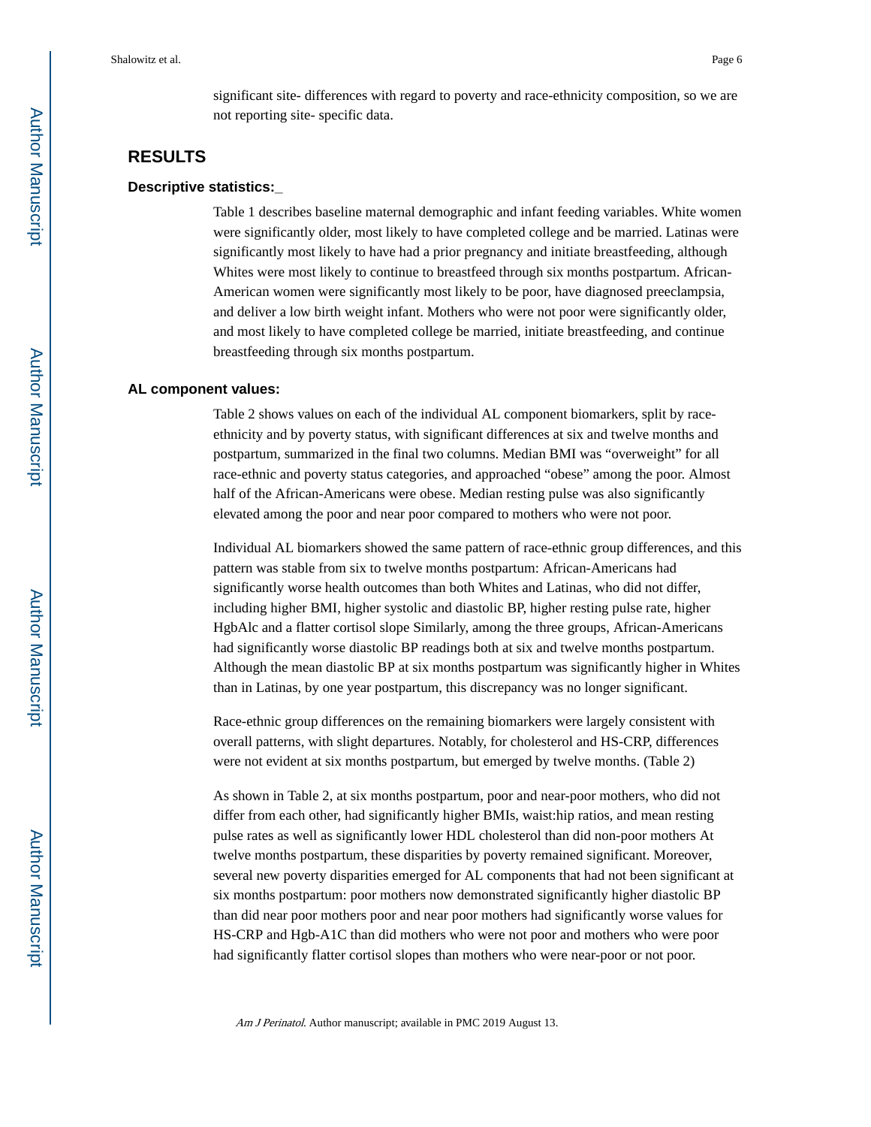significant site- differences with regard to poverty and race-ethnicity composition, so we are not reporting site- specific data.

## **RESULTS**

## **Descriptive statistics:\_**

Table 1 describes baseline maternal demographic and infant feeding variables. White women were significantly older, most likely to have completed college and be married. Latinas were significantly most likely to have had a prior pregnancy and initiate breastfeeding, although Whites were most likely to continue to breastfeed through six months postpartum. African-American women were significantly most likely to be poor, have diagnosed preeclampsia, and deliver a low birth weight infant. Mothers who were not poor were significantly older, and most likely to have completed college be married, initiate breastfeeding, and continue breastfeeding through six months postpartum.

#### **AL component values:**

Table 2 shows values on each of the individual AL component biomarkers, split by raceethnicity and by poverty status, with significant differences at six and twelve months and postpartum, summarized in the final two columns. Median BMI was "overweight" for all race-ethnic and poverty status categories, and approached "obese" among the poor. Almost half of the African-Americans were obese. Median resting pulse was also significantly elevated among the poor and near poor compared to mothers who were not poor.

Individual AL biomarkers showed the same pattern of race-ethnic group differences, and this pattern was stable from six to twelve months postpartum: African-Americans had significantly worse health outcomes than both Whites and Latinas, who did not differ, including higher BMI, higher systolic and diastolic BP, higher resting pulse rate, higher HgbAlc and a flatter cortisol slope Similarly, among the three groups, African-Americans had significantly worse diastolic BP readings both at six and twelve months postpartum. Although the mean diastolic BP at six months postpartum was significantly higher in Whites than in Latinas, by one year postpartum, this discrepancy was no longer significant.

Race-ethnic group differences on the remaining biomarkers were largely consistent with overall patterns, with slight departures. Notably, for cholesterol and HS-CRP, differences were not evident at six months postpartum, but emerged by twelve months. (Table 2)

As shown in Table 2, at six months postpartum, poor and near-poor mothers, who did not differ from each other, had significantly higher BMIs, waist:hip ratios, and mean resting pulse rates as well as significantly lower HDL cholesterol than did non-poor mothers At twelve months postpartum, these disparities by poverty remained significant. Moreover, several new poverty disparities emerged for AL components that had not been significant at six months postpartum: poor mothers now demonstrated significantly higher diastolic BP than did near poor mothers poor and near poor mothers had significantly worse values for HS-CRP and Hgb-A1C than did mothers who were not poor and mothers who were poor had significantly flatter cortisol slopes than mothers who were near-poor or not poor.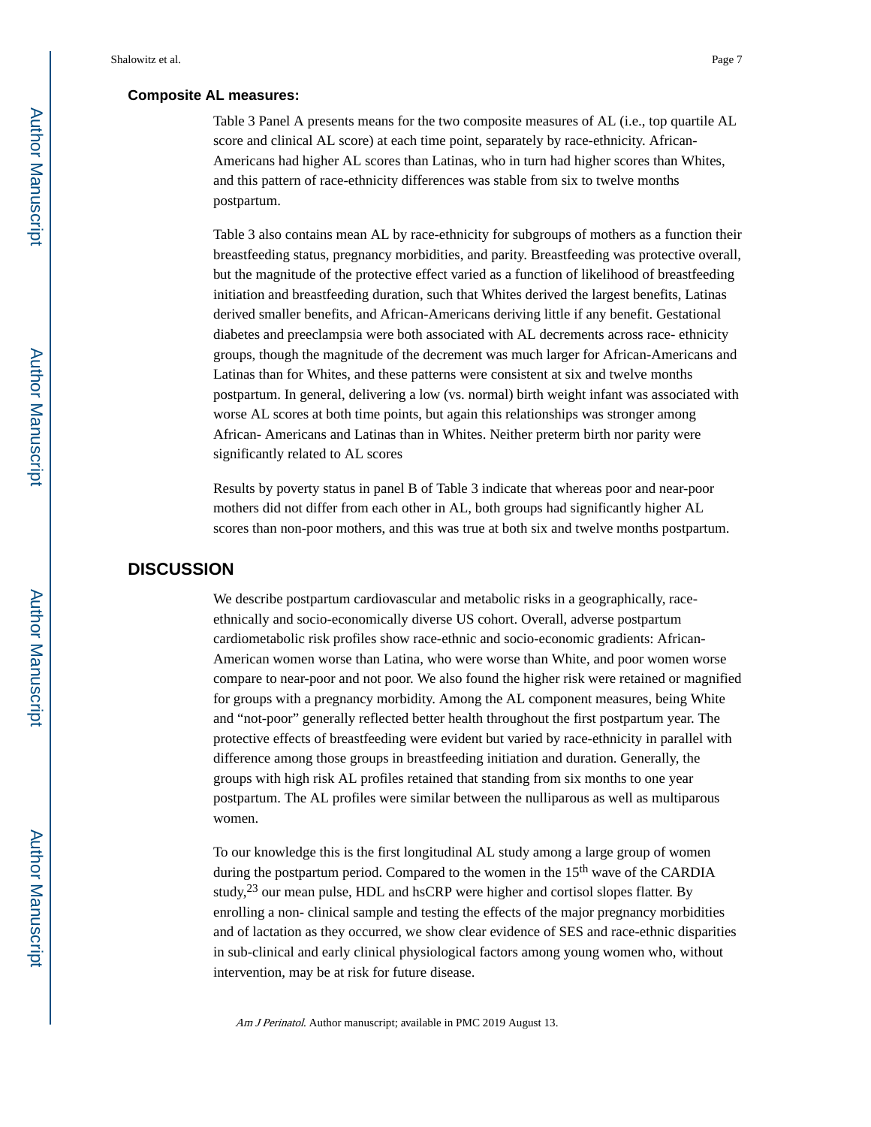#### **Composite AL measures:**

Table 3 Panel A presents means for the two composite measures of AL (i.e., top quartile AL score and clinical AL score) at each time point, separately by race-ethnicity. African-Americans had higher AL scores than Latinas, who in turn had higher scores than Whites, and this pattern of race-ethnicity differences was stable from six to twelve months postpartum.

Table 3 also contains mean AL by race-ethnicity for subgroups of mothers as a function their breastfeeding status, pregnancy morbidities, and parity. Breastfeeding was protective overall, but the magnitude of the protective effect varied as a function of likelihood of breastfeeding initiation and breastfeeding duration, such that Whites derived the largest benefits, Latinas derived smaller benefits, and African-Americans deriving little if any benefit. Gestational diabetes and preeclampsia were both associated with AL decrements across race- ethnicity groups, though the magnitude of the decrement was much larger for African-Americans and Latinas than for Whites, and these patterns were consistent at six and twelve months postpartum. In general, delivering a low (vs. normal) birth weight infant was associated with worse AL scores at both time points, but again this relationships was stronger among African- Americans and Latinas than in Whites. Neither preterm birth nor parity were significantly related to AL scores

Results by poverty status in panel B of Table 3 indicate that whereas poor and near-poor mothers did not differ from each other in AL, both groups had significantly higher AL scores than non-poor mothers, and this was true at both six and twelve months postpartum.

## **DISCUSSION**

We describe postpartum cardiovascular and metabolic risks in a geographically, raceethnically and socio-economically diverse US cohort. Overall, adverse postpartum cardiometabolic risk profiles show race-ethnic and socio-economic gradients: African-American women worse than Latina, who were worse than White, and poor women worse compare to near-poor and not poor. We also found the higher risk were retained or magnified for groups with a pregnancy morbidity. Among the AL component measures, being White and "not-poor" generally reflected better health throughout the first postpartum year. The protective effects of breastfeeding were evident but varied by race-ethnicity in parallel with difference among those groups in breastfeeding initiation and duration. Generally, the groups with high risk AL profiles retained that standing from six months to one year postpartum. The AL profiles were similar between the nulliparous as well as multiparous women.

To our knowledge this is the first longitudinal AL study among a large group of women during the postpartum period. Compared to the women in the  $15<sup>th</sup>$  wave of the CARDIA study, $23$  our mean pulse, HDL and hsCRP were higher and cortisol slopes flatter. By enrolling a non- clinical sample and testing the effects of the major pregnancy morbidities and of lactation as they occurred, we show clear evidence of SES and race-ethnic disparities in sub-clinical and early clinical physiological factors among young women who, without intervention, may be at risk for future disease.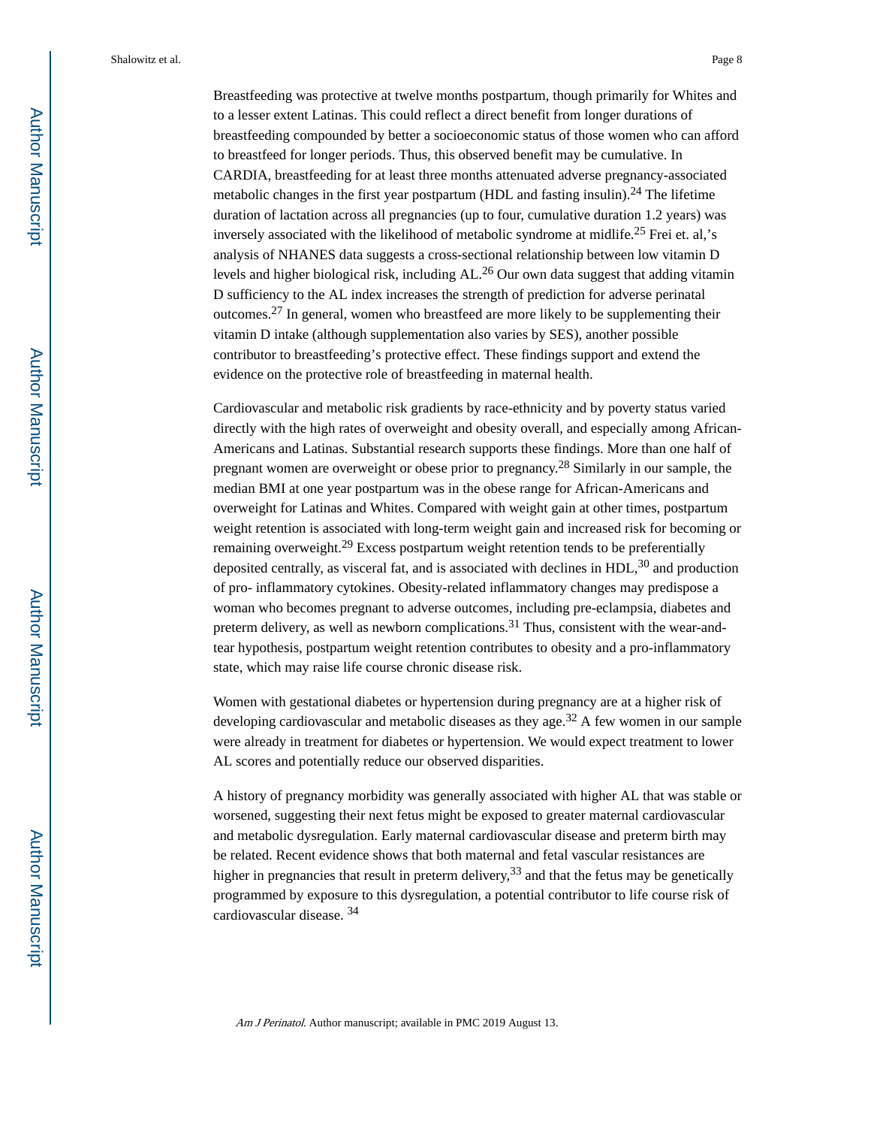Shalowitz et al. Page 8

Breastfeeding was protective at twelve months postpartum, though primarily for Whites and to a lesser extent Latinas. This could reflect a direct benefit from longer durations of breastfeeding compounded by better a socioeconomic status of those women who can afford to breastfeed for longer periods. Thus, this observed benefit may be cumulative. In CARDIA, breastfeeding for at least three months attenuated adverse pregnancy-associated metabolic changes in the first year postpartum (HDL and fasting insulin).<sup>24</sup> The lifetime duration of lactation across all pregnancies (up to four, cumulative duration 1.2 years) was inversely associated with the likelihood of metabolic syndrome at midlife.25 Frei et. al,'s analysis of NHANES data suggests a cross-sectional relationship between low vitamin D levels and higher biological risk, including AL.26 Our own data suggest that adding vitamin D sufficiency to the AL index increases the strength of prediction for adverse perinatal outcomes.27 In general, women who breastfeed are more likely to be supplementing their vitamin D intake (although supplementation also varies by SES), another possible contributor to breastfeeding's protective effect. These findings support and extend the evidence on the protective role of breastfeeding in maternal health.

Cardiovascular and metabolic risk gradients by race-ethnicity and by poverty status varied directly with the high rates of overweight and obesity overall, and especially among African-Americans and Latinas. Substantial research supports these findings. More than one half of pregnant women are overweight or obese prior to pregnancy.28 Similarly in our sample, the median BMI at one year postpartum was in the obese range for African-Americans and overweight for Latinas and Whites. Compared with weight gain at other times, postpartum weight retention is associated with long-term weight gain and increased risk for becoming or remaining overweight.<sup>29</sup> Excess postpartum weight retention tends to be preferentially deposited centrally, as visceral fat, and is associated with declines in  $HDL<sup>30</sup>$  and production of pro- inflammatory cytokines. Obesity-related inflammatory changes may predispose a woman who becomes pregnant to adverse outcomes, including pre-eclampsia, diabetes and preterm delivery, as well as newborn complications.<sup>31</sup> Thus, consistent with the wear-andtear hypothesis, postpartum weight retention contributes to obesity and a pro-inflammatory state, which may raise life course chronic disease risk.

Women with gestational diabetes or hypertension during pregnancy are at a higher risk of developing cardiovascular and metabolic diseases as they age.<sup>32</sup> A few women in our sample were already in treatment for diabetes or hypertension. We would expect treatment to lower AL scores and potentially reduce our observed disparities.

A history of pregnancy morbidity was generally associated with higher AL that was stable or worsened, suggesting their next fetus might be exposed to greater maternal cardiovascular and metabolic dysregulation. Early maternal cardiovascular disease and preterm birth may be related. Recent evidence shows that both maternal and fetal vascular resistances are higher in pregnancies that result in preterm delivery,  $33$  and that the fetus may be genetically programmed by exposure to this dysregulation, a potential contributor to life course risk of cardiovascular disease. <sup>34</sup>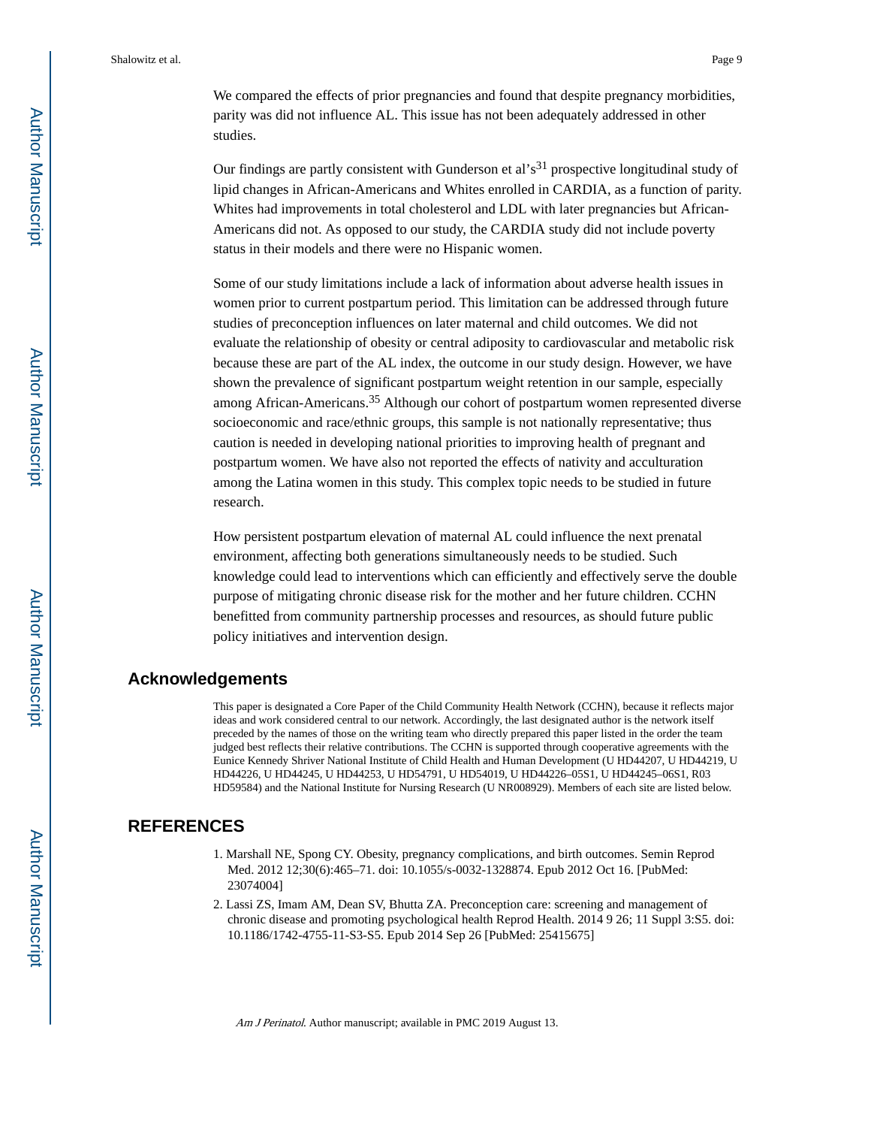Shalowitz et al. Page 9

We compared the effects of prior pregnancies and found that despite pregnancy morbidities, parity was did not influence AL. This issue has not been adequately addressed in other studies.

Our findings are partly consistent with Gunderson et al's<sup>31</sup> prospective longitudinal study of lipid changes in African-Americans and Whites enrolled in CARDIA, as a function of parity. Whites had improvements in total cholesterol and LDL with later pregnancies but African-Americans did not. As opposed to our study, the CARDIA study did not include poverty status in their models and there were no Hispanic women.

Some of our study limitations include a lack of information about adverse health issues in women prior to current postpartum period. This limitation can be addressed through future studies of preconception influences on later maternal and child outcomes. We did not evaluate the relationship of obesity or central adiposity to cardiovascular and metabolic risk because these are part of the AL index, the outcome in our study design. However, we have shown the prevalence of significant postpartum weight retention in our sample, especially among African-Americans.35 Although our cohort of postpartum women represented diverse socioeconomic and race/ethnic groups, this sample is not nationally representative; thus caution is needed in developing national priorities to improving health of pregnant and postpartum women. We have also not reported the effects of nativity and acculturation among the Latina women in this study. This complex topic needs to be studied in future research.

How persistent postpartum elevation of maternal AL could influence the next prenatal environment, affecting both generations simultaneously needs to be studied. Such knowledge could lead to interventions which can efficiently and effectively serve the double purpose of mitigating chronic disease risk for the mother and her future children. CCHN benefitted from community partnership processes and resources, as should future public policy initiatives and intervention design.

## **Acknowledgements**

This paper is designated a Core Paper of the Child Community Health Network (CCHN), because it reflects major ideas and work considered central to our network. Accordingly, the last designated author is the network itself preceded by the names of those on the writing team who directly prepared this paper listed in the order the team judged best reflects their relative contributions. The CCHN is supported through cooperative agreements with the Eunice Kennedy Shriver National Institute of Child Health and Human Development (U HD44207, U HD44219, U HD44226, U HD44245, U HD44253, U HD54791, U HD54019, U HD44226–05S1, U HD44245–06S1, R03 HD59584) and the National Institute for Nursing Research (U NR008929). Members of each site are listed below.

## **REFERENCES**

- 1. Marshall NE, Spong CY. Obesity, pregnancy complications, and birth outcomes. Semin Reprod Med. 2012 12;30(6):465–71. doi: 10.1055/s-0032-1328874. Epub 2012 Oct 16. [PubMed: 23074004]
- 2. Lassi ZS, Imam AM, Dean SV, Bhutta ZA. Preconception care: screening and management of chronic disease and promoting psychological health Reprod Health. 2014 9 26; 11 Suppl 3:S5. doi: 10.1186/1742-4755-11-S3-S5. Epub 2014 Sep 26 [PubMed: 25415675]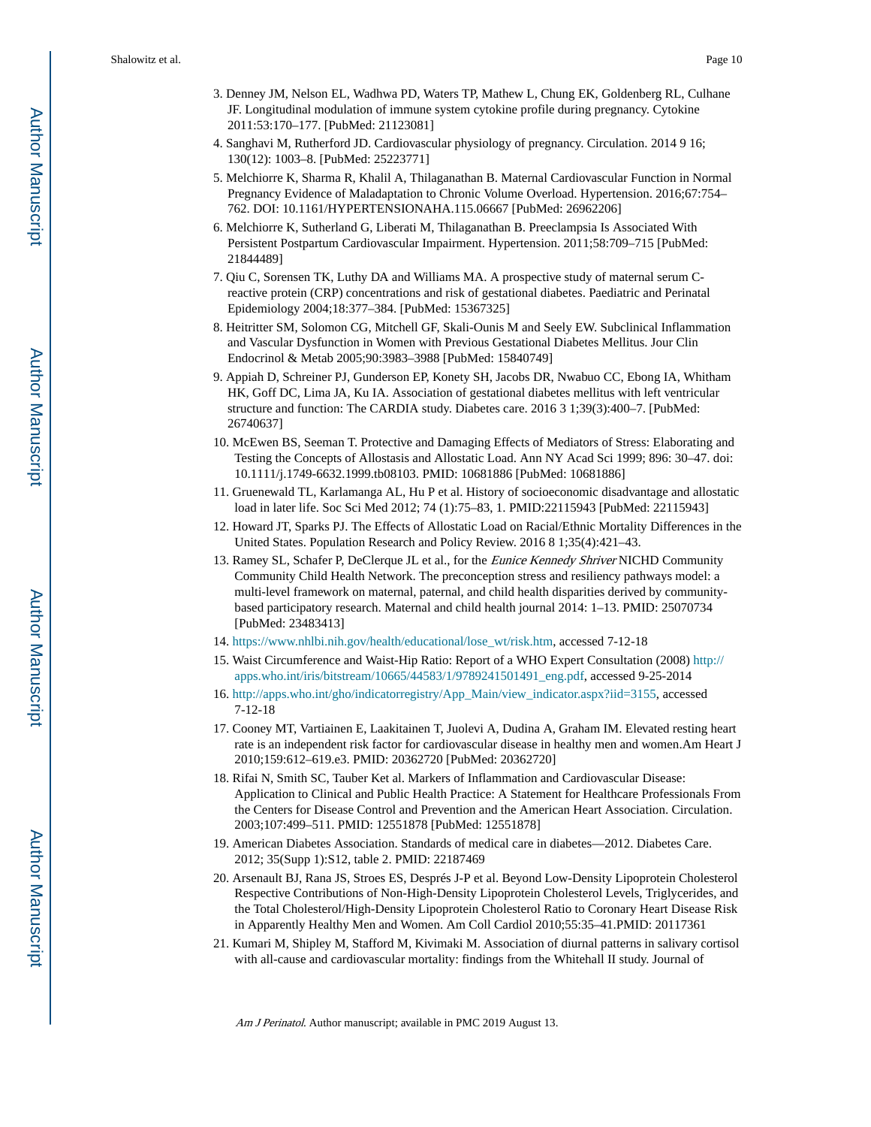- 3. Denney JM, Nelson EL, Wadhwa PD, Waters TP, Mathew L, Chung EK, Goldenberg RL, Culhane JF. Longitudinal modulation of immune system cytokine profile during pregnancy. Cytokine 2011:53:170–177. [PubMed: 21123081]
- 4. Sanghavi M, Rutherford JD. Cardiovascular physiology of pregnancy. Circulation. 2014 9 16; 130(12): 1003–8. [PubMed: 25223771]
- 5. Melchiorre K, Sharma R, Khalil A, Thilaganathan B. Maternal Cardiovascular Function in Normal Pregnancy Evidence of Maladaptation to Chronic Volume Overload. Hypertension. 2016;67:754– 762. DOI: 10.1161/HYPERTENSIONAHA.115.06667 [PubMed: 26962206]
- 6. Melchiorre K, Sutherland G, Liberati M, Thilaganathan B. Preeclampsia Is Associated With Persistent Postpartum Cardiovascular Impairment. Hypertension. 2011;58:709–715 [PubMed: 21844489]
- 7. Qiu C, Sorensen TK, Luthy DA and Williams MA. A prospective study of maternal serum Creactive protein (CRP) concentrations and risk of gestational diabetes. Paediatric and Perinatal Epidemiology 2004;18:377–384. [PubMed: 15367325]
- 8. Heitritter SM, Solomon CG, Mitchell GF, Skali-Ounis M and Seely EW. Subclinical Inflammation and Vascular Dysfunction in Women with Previous Gestational Diabetes Mellitus. Jour Clin Endocrinol & Metab 2005;90:3983–3988 [PubMed: 15840749]
- 9. Appiah D, Schreiner PJ, Gunderson EP, Konety SH, Jacobs DR, Nwabuo CC, Ebong IA, Whitham HK, Goff DC, Lima JA, Ku IA. Association of gestational diabetes mellitus with left ventricular structure and function: The CARDIA study. Diabetes care. 2016 3 1;39(3):400–7. [PubMed: 26740637]
- 10. McEwen BS, Seeman T. Protective and Damaging Effects of Mediators of Stress: Elaborating and Testing the Concepts of Allostasis and Allostatic Load. Ann NY Acad Sci 1999; 896: 30–47. doi: 10.1111/j.1749-6632.1999.tb08103. PMID: 10681886 [PubMed: 10681886]
- 11. Gruenewald TL, Karlamanga AL, Hu P et al. History of socioeconomic disadvantage and allostatic load in later life. Soc Sci Med 2012; 74 (1):75–83, 1. PMID:22115943 [PubMed: 22115943]
- 12. Howard JT, Sparks PJ. The Effects of Allostatic Load on Racial/Ethnic Mortality Differences in the United States. Population Research and Policy Review. 2016 8 1;35(4):421–43.
- 13. Ramey SL, Schafer P, DeClerque JL et al., for the *Eunice Kennedy Shriver* NICHD Community Community Child Health Network. The preconception stress and resiliency pathways model: a multi-level framework on maternal, paternal, and child health disparities derived by communitybased participatory research. Maternal and child health journal 2014: 1–13. PMID: 25070734 [PubMed: 23483413]
- 14. [https://www.nhlbi.nih.gov/health/educational/lose\\_wt/risk.htm,](https://www.nhlbi.nih.gov/health/educational/lose_wt/risk.htm) accessed 7-12-18
- 15. Waist Circumference and Waist-Hip Ratio: Report of a WHO Expert Consultation (2008) [http://](http://apps.who.int/iris/bitstream/10665/44583/1/9789241501491_eng.pdf) [apps.who.int/iris/bitstream/10665/44583/1/9789241501491\\_eng.pdf,](http://apps.who.int/iris/bitstream/10665/44583/1/9789241501491_eng.pdf) accessed 9-25-2014
- 16. [http://apps.who.int/gho/indicatorregistry/App\\_Main/view\\_indicator.aspx?iid=3155](http://apps.who.int/gho/indicatorregistry/App_Main/view_indicator.aspx?iid=3155), accessed 7-12-18
- 17. Cooney MT, Vartiainen E, Laakitainen T, Juolevi A, Dudina A, Graham IM. Elevated resting heart rate is an independent risk factor for cardiovascular disease in healthy men and women.Am Heart J 2010;159:612–619.e3. PMID: 20362720 [PubMed: 20362720]
- 18. Rifai N, Smith SC, Tauber Ket al. Markers of Inflammation and Cardiovascular Disease: Application to Clinical and Public Health Practice: A Statement for Healthcare Professionals From the Centers for Disease Control and Prevention and the American Heart Association. Circulation. 2003;107:499–511. PMID: 12551878 [PubMed: 12551878]
- 19. American Diabetes Association. Standards of medical care in diabetes—2012. Diabetes Care. 2012; 35(Supp 1):S12, table 2. PMID: 22187469
- 20. Arsenault BJ, Rana JS, Stroes ES, Després J-P et al. Beyond Low-Density Lipoprotein Cholesterol Respective Contributions of Non-High-Density Lipoprotein Cholesterol Levels, Triglycerides, and the Total Cholesterol/High-Density Lipoprotein Cholesterol Ratio to Coronary Heart Disease Risk in Apparently Healthy Men and Women. Am Coll Cardiol 2010;55:35–41.PMID: 20117361
- 21. Kumari M, Shipley M, Stafford M, Kivimaki M. Association of diurnal patterns in salivary cortisol with all-cause and cardiovascular mortality: findings from the Whitehall II study. Journal of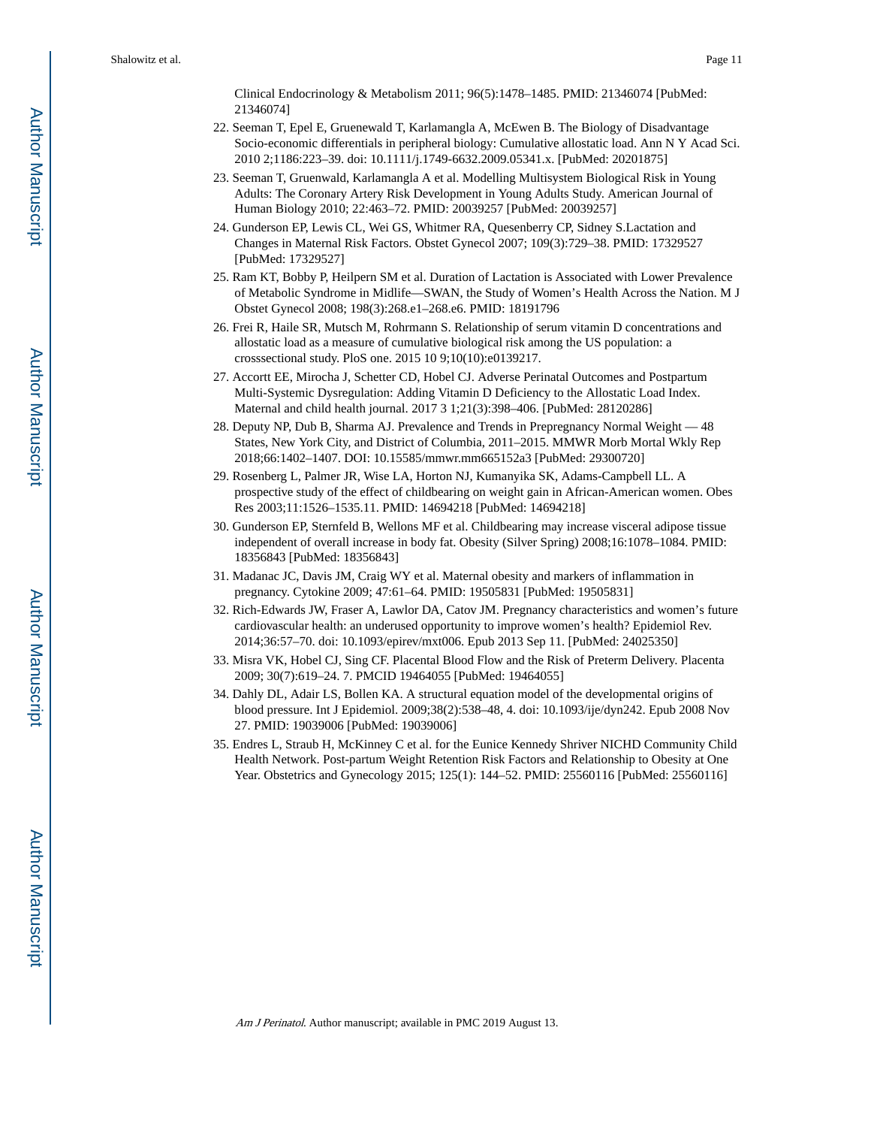Clinical Endocrinology & Metabolism 2011; 96(5):1478–1485. PMID: 21346074 [PubMed: 21346074]

- 22. Seeman T, Epel E, Gruenewald T, Karlamangla A, McEwen B. The Biology of Disadvantage Socio-economic differentials in peripheral biology: Cumulative allostatic load. Ann N Y Acad Sci. 2010 2;1186:223–39. doi: 10.1111/j.1749-6632.2009.05341.x. [PubMed: 20201875]
- 23. Seeman T, Gruenwald, Karlamangla A et al. Modelling Multisystem Biological Risk in Young Adults: The Coronary Artery Risk Development in Young Adults Study. American Journal of Human Biology 2010; 22:463–72. PMID: 20039257 [PubMed: 20039257]
- 24. Gunderson EP, Lewis CL, Wei GS, Whitmer RA, Quesenberry CP, Sidney S.Lactation and Changes in Maternal Risk Factors. Obstet Gynecol 2007; 109(3):729–38. PMID: 17329527 [PubMed: 17329527]
- 25. Ram KT, Bobby P, Heilpern SM et al. Duration of Lactation is Associated with Lower Prevalence of Metabolic Syndrome in Midlife—SWAN, the Study of Women's Health Across the Nation. M J Obstet Gynecol 2008; 198(3):268.e1–268.e6. PMID: 18191796
- 26. Frei R, Haile SR, Mutsch M, Rohrmann S. Relationship of serum vitamin D concentrations and allostatic load as a measure of cumulative biological risk among the US population: a crosssectional study. PloS one. 2015 10 9;10(10):e0139217.
- 27. Accortt EE, Mirocha J, Schetter CD, Hobel CJ. Adverse Perinatal Outcomes and Postpartum Multi-Systemic Dysregulation: Adding Vitamin D Deficiency to the Allostatic Load Index. Maternal and child health journal. 2017 3 1;21(3):398–406. [PubMed: 28120286]
- 28. Deputy NP, Dub B, Sharma AJ. Prevalence and Trends in Prepregnancy Normal Weight 48 States, New York City, and District of Columbia, 2011–2015. MMWR Morb Mortal Wkly Rep 2018;66:1402–1407. DOI: 10.15585/mmwr.mm665152a3 [PubMed: 29300720]
- 29. Rosenberg L, Palmer JR, Wise LA, Horton NJ, Kumanyika SK, Adams-Campbell LL. A prospective study of the effect of childbearing on weight gain in African-American women. Obes Res 2003;11:1526–1535.11. PMID: 14694218 [PubMed: 14694218]
- 30. Gunderson EP, Sternfeld B, Wellons MF et al. Childbearing may increase visceral adipose tissue independent of overall increase in body fat. Obesity (Silver Spring) 2008;16:1078–1084. PMID: 18356843 [PubMed: 18356843]
- 31. Madanac JC, Davis JM, Craig WY et al. Maternal obesity and markers of inflammation in pregnancy. Cytokine 2009; 47:61–64. PMID: 19505831 [PubMed: 19505831]
- 32. Rich-Edwards JW, Fraser A, Lawlor DA, Catov JM. Pregnancy characteristics and women's future cardiovascular health: an underused opportunity to improve women's health? Epidemiol Rev. 2014;36:57–70. doi: 10.1093/epirev/mxt006. Epub 2013 Sep 11. [PubMed: 24025350]
- 33. Misra VK, Hobel CJ, Sing CF. Placental Blood Flow and the Risk of Preterm Delivery. Placenta 2009; 30(7):619–24. 7. PMCID 19464055 [PubMed: 19464055]
- 34. Dahly DL, Adair LS, Bollen KA. A structural equation model of the developmental origins of blood pressure. Int J Epidemiol. 2009;38(2):538–48, 4. doi: 10.1093/ije/dyn242. Epub 2008 Nov 27. PMID: 19039006 [PubMed: 19039006]
- 35. Endres L, Straub H, McKinney C et al. for the Eunice Kennedy Shriver NICHD Community Child Health Network. Post-partum Weight Retention Risk Factors and Relationship to Obesity at One Year. Obstetrics and Gynecology 2015; 125(1): 144–52. PMID: 25560116 [PubMed: 25560116]

Author Manuscript

Author Manuscript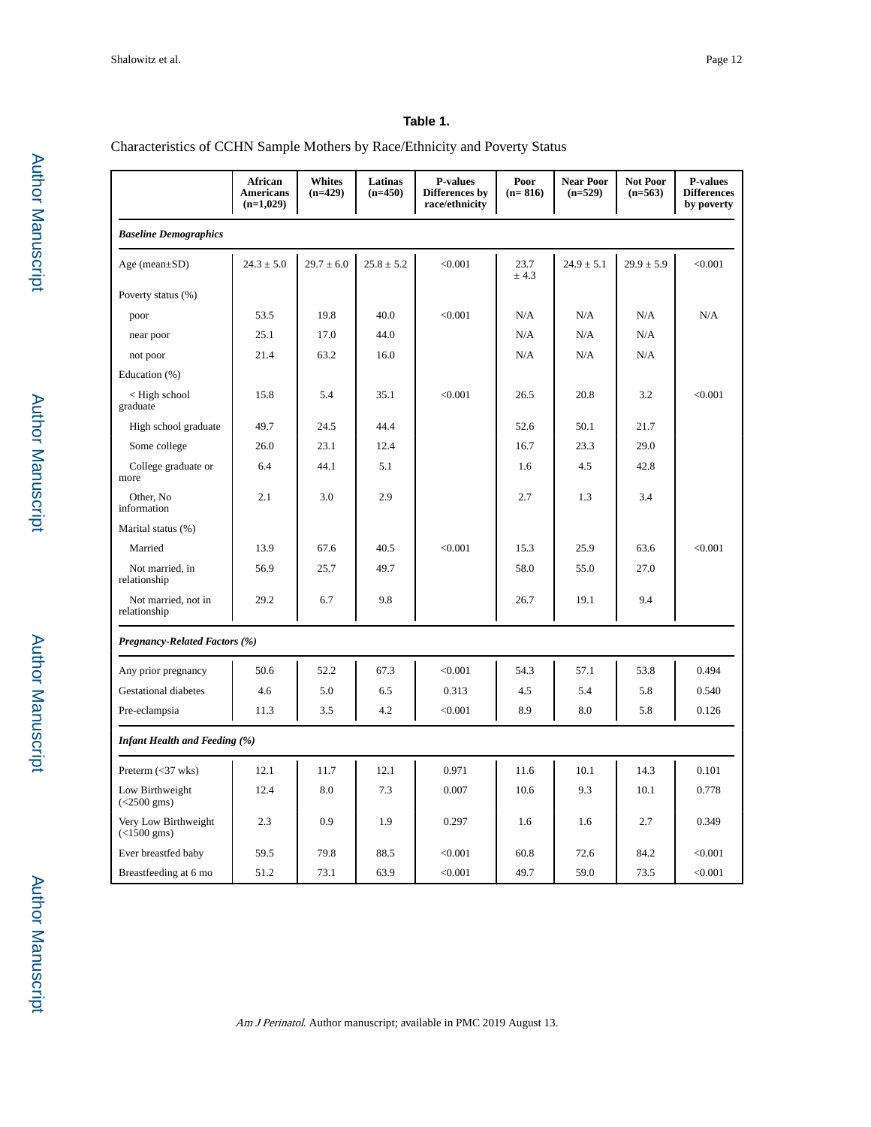## **Table 1.**

## Characteristics of CCHN Sample Mothers by Race/Ethnicity and Poverty Status

|                                               | African<br><b>Americans</b><br>$(n=1,029)$ | <b>Whites</b><br>$(n=429)$ | Latinas<br>$(n=450)$ | <b>P-values</b><br>Differences by<br>race/ethnicity | Poor<br>$(n=816)$ | <b>Near Poor</b><br>$(n=529)$ | Not Poor<br>$(n=563)$ | <b>P-values</b><br><b>Differences</b><br>by poverty |
|-----------------------------------------------|--------------------------------------------|----------------------------|----------------------|-----------------------------------------------------|-------------------|-------------------------------|-----------------------|-----------------------------------------------------|
| <b>Baseline Demographics</b>                  |                                            |                            |                      |                                                     |                   |                               |                       |                                                     |
| Age (mean $\pm$ SD)                           | $24.3 \pm 5.0$                             | $29.7 \pm 6.0$             | $25.8 \pm 5.2$       | < 0.001                                             | 23.7<br>± 4.3     | $24.9 \pm 5.1$                | $29.9 \pm 5.9$        | < 0.001                                             |
| Poverty status (%)                            |                                            |                            |                      |                                                     |                   |                               |                       |                                                     |
| poor                                          | 53.5                                       | 19.8                       | 40.0                 | < 0.001                                             | N/A               | N/A                           | N/A                   | N/A                                                 |
| near poor                                     | 25.1                                       | 17.0                       | 44.0                 |                                                     | N/A               | N/A                           | N/A                   |                                                     |
| not poor                                      | 21.4                                       | 63.2                       | 16.0                 |                                                     | N/A               | N/A                           | N/A                   |                                                     |
| Education (%)                                 |                                            |                            |                      |                                                     |                   |                               |                       |                                                     |
| $<$ High school<br>graduate                   | 15.8                                       | 5.4                        | 35.1                 | < 0.001                                             | 26.5              | 20.8                          | 3.2                   | < 0.001                                             |
| High school graduate                          | 49.7                                       | 24.5                       | 44.4                 |                                                     | 52.6              | 50.1                          | 21.7                  |                                                     |
| Some college                                  | 26.0                                       | 23.1                       | 12.4                 |                                                     | 16.7              | 23.3                          | 29.0                  |                                                     |
| College graduate or<br>more                   | 6.4                                        | 44.1                       | 5.1                  |                                                     | 1.6               | 4.5                           | 42.8                  |                                                     |
| Other, No.<br>information                     | 2.1                                        | 3.0                        | 2.9                  |                                                     | 2.7               | 1.3                           | 3.4                   |                                                     |
| Marital status (%)                            |                                            |                            |                      |                                                     |                   |                               |                       |                                                     |
| Married                                       | 13.9                                       | 67.6                       | 40.5                 | < 0.001                                             | 15.3              | 25.9                          | 63.6                  | < 0.001                                             |
| Not married, in<br>relationship               | 56.9                                       | 25.7                       | 49.7                 |                                                     | 58.0              | 55.0                          | 27.0                  |                                                     |
| Not married, not in<br>relationship           | 29.2                                       | 6.7                        | 9.8                  |                                                     | 26.7              | 19.1                          | 9.4                   |                                                     |
| <b>Pregnancy-Related Factors (%)</b>          |                                            |                            |                      |                                                     |                   |                               |                       |                                                     |
| Any prior pregnancy                           | 50.6                                       | 52.2                       | 67.3                 | < 0.001                                             | 54.3              | 57.1                          | 53.8                  | 0.494                                               |
| <b>Gestational diabetes</b>                   | 4.6                                        | 5.0                        | 6.5                  | 0.313                                               | 4.5               | 5.4                           | 5.8                   | 0.540                                               |
| Pre-eclampsia                                 | 11.3                                       | 3.5                        | 4.2                  | < 0.001                                             | 8.9               | 8.0                           | 5.8                   | 0.126                                               |
| <b>Infant Health and Feeding (%)</b>          |                                            |                            |                      |                                                     |                   |                               |                       |                                                     |
| Preterm $(<$ 37 wks)                          | 12.1                                       | 11.7                       | 12.1                 | 0.971                                               | 11.6              | 10.1                          | 14.3                  | 0.101                                               |
| Low Birthweight<br>$(<2500 \text{ gms})$      | 12.4                                       | 8.0                        | 7.3                  | 0.007                                               | 10.6              | 9.3                           | 10.1                  | 0.778                                               |
| Very Low Birthweight<br>$(<1500 \text{ gms})$ | 2.3                                        | 0.9                        | 1.9                  | 0.297                                               | 1.6               | 1.6                           | 2.7                   | 0.349                                               |
| Ever breastfed baby                           | 59.5                                       | 79.8                       | 88.5                 | < 0.001                                             | 60.8              | 72.6                          | 84.2                  | < 0.001                                             |
| Breastfeeding at 6 mo                         | 51.2                                       | 73.1                       | 63.9                 | < 0.001                                             | 49.7              | 59.0                          | 73.5                  | < 0.001                                             |

Author Manuscript

**Author Manuscript**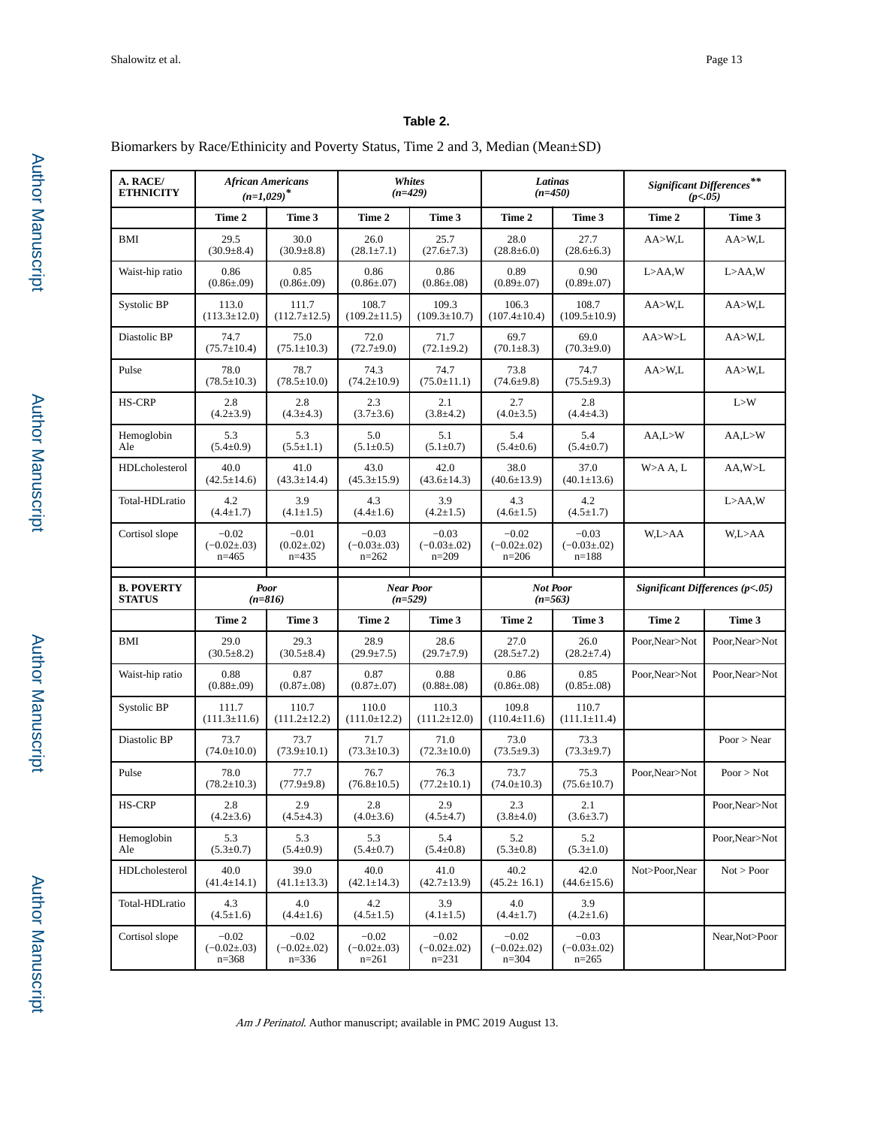## **Table 2.**

Biomarkers by Race/Ethinicity and Poverty Status, Time 2 and 3, Median (Mean±SD)

| A. RACE/<br><b>ETHNICITY</b>       | <b>African Americans</b><br>$(n=1,029)^*$ |                                         |                                          | Whites<br>$(n=429)$                      |                                          | Latinas<br>$(n=450)$                     | $\label{eq:discretization} Signification \: Differences \begin{tabular}{l} \end{tabular} \end{tabular}$<br>(p<.05) |                |  |  |
|------------------------------------|-------------------------------------------|-----------------------------------------|------------------------------------------|------------------------------------------|------------------------------------------|------------------------------------------|--------------------------------------------------------------------------------------------------------------------|----------------|--|--|
|                                    | Time 2                                    | Time 3                                  | Time 2                                   | Time 3                                   | Time 2                                   | Time 3                                   | Time 2                                                                                                             | Time 3         |  |  |
| BMI                                | 29.5<br>$(30.9 \pm 8.4)$                  | 30.0<br>$(30.9 \pm 8.8)$                | 26.0<br>$(28.1 \pm 7.1)$                 | 25.7<br>$(27.6 \pm 7.3)$                 | 28.0<br>$(28.8 \pm 6.0)$                 | 27.7<br>$(28.6 \pm 6.3)$                 | AA>W,L                                                                                                             | AA > W.L       |  |  |
| Waist-hip ratio                    | 0.86<br>$(0.86 \pm 0.09)$                 | 0.85<br>$(0.86 \pm 0.09)$               | 0.86<br>$(0.86 \pm 0.07)$                | 0.86<br>$(0.86 \pm 0.08)$                | 0.89<br>$(0.89 \pm 0.07)$                | 0.90<br>$(0.89 \pm 0.07)$                | $L > A A$ , W                                                                                                      | $L > A A$ , W  |  |  |
| Systolic BP                        | 113.0<br>$(113.3 \pm 12.0)$               | 111.7<br>$(112.7 \pm 12.5)$             | 108.7<br>$(109.2 \pm 11.5)$              | 109.3<br>$(109.3 \pm 10.7)$              | 106.3<br>$(107.4 \pm 10.4)$              | 108.7<br>$(109.5 \pm 10.9)$              | AA>W,L                                                                                                             | AA > W,L       |  |  |
| Diastolic BP                       | 74.7<br>$(75.7 \pm 10.4)$                 | 75.0<br>$(75.1 \pm 10.3)$               | 72.0<br>$(72.7 \pm 9.0)$                 | 71.7<br>$(72.1 \pm 9.2)$                 | 69.7<br>$(70.1 \pm 8.3)$                 | 69.0<br>$(70.3 \pm 9.0)$                 | AA>W>L                                                                                                             | AA > W,L       |  |  |
| Pulse                              | 78.0<br>$(78.5 \pm 10.3)$                 | 78.7<br>$(78.5 \pm 10.0)$               | 74.3<br>$(74.2 \pm 10.9)$                | 74.7<br>$(75.0 \pm 11.1)$                | 73.8<br>$(74.6 \pm 9.8)$                 | 74.7<br>$(75.5 \pm 9.3)$                 | AA>W,L                                                                                                             | AA > W.L       |  |  |
| <b>HS-CRP</b>                      | 2.8<br>$(4.2 \pm 3.9)$                    | 2.8<br>$(4.3 \pm 4.3)$                  | 2.3<br>$(3.7 \pm 3.6)$                   | 2.1<br>$(3.8 \pm 4.2)$                   | 2.7<br>$(4.0 \pm 3.5)$                   | 2.8<br>$(4.4 \pm 4.3)$                   |                                                                                                                    | L > W          |  |  |
| Hemoglobin<br>Ale                  | 5.3<br>$(5.4 \pm 0.9)$                    | 5.3<br>$(5.5 \pm 1.1)$                  | 5.0<br>$(5.1 \pm 0.5)$                   | 5.1<br>$(5.1 \pm 0.7)$                   | 5.4<br>$(5.4 \pm 0.6)$                   | 5.4<br>$(5.4 \pm 0.7)$                   | AA, L>W                                                                                                            | AA, L>W        |  |  |
| HDLcholesterol                     | 40.0<br>$(42.5 \pm 14.6)$                 | 41.0<br>$(43.3 \pm 14.4)$               | 43.0<br>$(45.3 \pm 15.9)$                | 42.0<br>$(43.6 \pm 14.3)$                | 38.0<br>$(40.6 \pm 13.9)$                | 37.0<br>$(40.1 \pm 13.6)$                | W>A A, L                                                                                                           | AA, W>L        |  |  |
| Total-HDLratio                     | 4.2<br>$(4.4 \pm 1.7)$                    | 3.9<br>$(4.1 \pm 1.5)$                  | 4.3<br>$(4.4 \pm 1.6)$                   | 3.9<br>$(4.2 \pm 1.5)$                   | 4.3<br>$(4.6 \pm 1.5)$                   | 4.2<br>$(4.5 \pm 1.7)$                   |                                                                                                                    | $L > A A$ , W  |  |  |
| Cortisol slope                     | $-0.02$<br>$(-0.02 \pm 0.03)$<br>$n=465$  | $-0.01$<br>$(0.02 \pm 0.02)$<br>$n=435$ | $-0.03$<br>$(-0.03 \pm 0.03)$<br>$n=262$ | $-0.03$<br>$(-0.03 \pm 0.02)$<br>$n=209$ | $-0.02$<br>$(-0.02 \pm 0.02)$<br>$n=206$ | $-0.03$<br>$(-0.03 \pm 0.02)$<br>$n=188$ | W,L>AA                                                                                                             | W,L>AA         |  |  |
|                                    | <b>Poor</b><br>$(n=816)$                  |                                         |                                          |                                          |                                          |                                          | Significant Differences $(p<.05)$                                                                                  |                |  |  |
| <b>B. POVERTY</b><br><b>STATUS</b> |                                           |                                         |                                          | <b>Near Poor</b><br>$(n=529)$            |                                          | <b>Not Poor</b><br>$(n=563)$             |                                                                                                                    |                |  |  |
|                                    | Time 2                                    | Time 3                                  | Time 2                                   | Time 3                                   | Time 2                                   | Time 3                                   | Time 2                                                                                                             | Time 3         |  |  |
| BMI                                | 29.0<br>$(30.5 \pm 8.2)$                  | 29.3<br>$(30.5 \pm 8.4)$                | 28.9<br>$(29.9 \pm 7.5)$                 | 28.6<br>$(29.7 \pm 7.9)$                 | 27.0<br>$(28.5 \pm 7.2)$                 | 26.0<br>$(28.2 \pm 7.4)$                 | Poor, Near>Not                                                                                                     | Poor, Near>Not |  |  |
| Waist-hip ratio                    | 0.88<br>$(0.88 \pm 0.09)$                 | 0.87<br>$(0.87 \pm 0.08)$               | 0.87<br>$(0.87 \pm 0.07)$                | 0.88<br>$(0.88 \pm .08)$                 | 0.86<br>$(0.86 \pm .08)$                 | 0.85<br>$(0.85 \pm .08)$                 | Poor, Near>Not                                                                                                     | Poor, Near>Not |  |  |
| Systolic BP                        | 111.7<br>$(111.3 \pm 11.6)$               | 110.7<br>$(111.2 \pm 12.2)$             | 110.0<br>$(111.0 \pm 12.2)$              | 110.3<br>$(111.2 \pm 12.0)$              | 109.8<br>$(110.4 \pm 11.6)$              | 110.7<br>$(111.1 \pm 11.4)$              |                                                                                                                    |                |  |  |
| Diastolic BP                       | 73.7<br>$(74.0 \pm 10.0)$                 | 73.7<br>$(73.9 \pm 10.1)$               | 71.7<br>$(73.3 \pm 10.3)$                | 71.0<br>$(72.3 \pm 10.0)$                | 73.0<br>$(73.5 \pm 9.3)$                 | 73.3<br>$(73.3 \pm 9.7)$                 |                                                                                                                    | Poor > Near    |  |  |
| Pulse                              | 78.0<br>$(78.2 \pm 10.3)$                 | 77.7<br>$(77.9 \pm 9.8)$                | 76.7<br>$(76.8 \pm 10.5)$                | 76.3<br>$(77.2 \pm 10.1)$                | 73.7<br>$(74.0 \pm 10.3)$                | 75.3<br>$(75.6 \pm 10.7)$                | Poor, Near>Not                                                                                                     | Poor > Not     |  |  |
| HS-CRP                             | 2.8<br>$(4.2 \pm 3.6)$                    | 2.9<br>$(4.5 \pm 4.3)$                  | 2.8<br>$(4.0 \pm 3.6)$                   | 2.9<br>$(4.5 \pm 4.7)$                   | 2.3<br>$(3.8 \pm 4.0)$                   | 2.1<br>$(3.6 \pm 3.7)$                   |                                                                                                                    | Poor, Near>Not |  |  |
| Hemoglobin<br>Ale                  | 5.3<br>$(5.3 \pm 0.7)$                    | 5.3<br>$(5.4 \pm 0.9)$                  | 5.3<br>$(5.4 \pm 0.7)$                   | 5.4<br>$(5.4 \pm 0.8)$                   | 5.2<br>$(5.3 \pm 0.8)$                   | 5.2<br>$(5.3 \pm 1.0)$                   |                                                                                                                    | Poor, Near>Not |  |  |
| HDLcholesterol                     | 40.0<br>$(41.4 \pm 14.1)$                 | 39.0<br>$(41.1 \pm 13.3)$               | 40.0<br>$(42.1 \pm 14.3)$                | 41.0<br>$(42.7 \pm 13.9)$                | 40.2<br>$(45.2 \pm 16.1)$                | 42.0<br>$(44.6 \pm 15.6)$                | Not>Poor,Near                                                                                                      | Not > Poor     |  |  |
| Total-HDLratio                     | 4.3<br>$(4.5 \pm 1.6)$                    | 4.0<br>$(4.4 \pm 1.6)$                  | 4.2<br>$(4.5 \pm 1.5)$                   | 3.9<br>$(4.1 \pm 1.5)$                   | 4.0<br>$(4.4 \pm 1.7)$                   | 3.9<br>$(4.2 \pm 1.6)$                   |                                                                                                                    |                |  |  |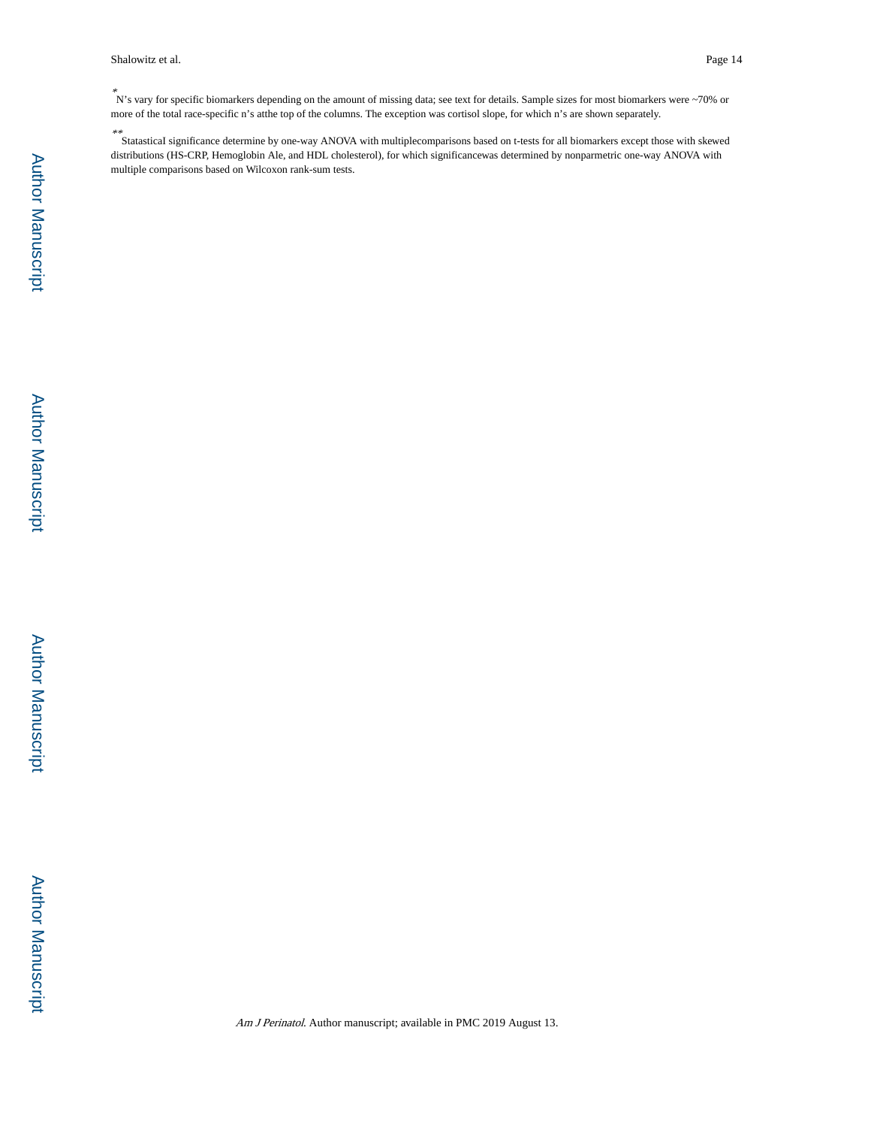Shalowitz et al. Page 14

\* N's vary for specific biomarkers depending on the amount of missing data; see text for details. Sample sizes for most biomarkers were ~70% or more of the total race-specific n's atthe top of the columns. The exception was cortisol slope, for which n's are shown separately.

\*\* StatasticaI significance determine by one-way ANOVA with multiplecomparisons based on t-tests for all biomarkers except those with skewed distributions (HS-CRP, Hemoglobin Ale, and HDL cholesterol), for which significancewas determined by nonparmetric one-way ANOVA with multiple comparisons based on Wilcoxon rank-sum tests.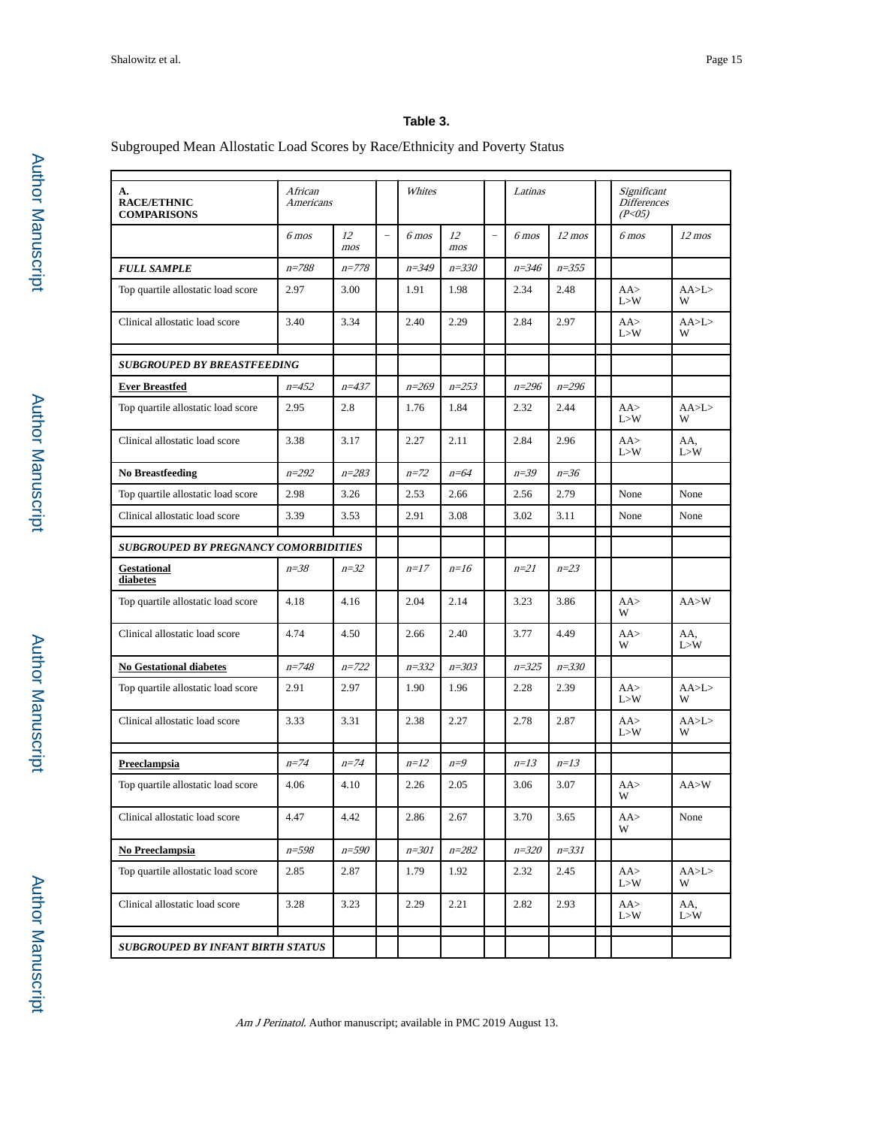## **Table 3.**

## Subgrouped Mean Allostatic Load Scores by Race/Ethnicity and Poverty Status

| A.<br><b>RACE/ETHNIC</b><br><b>COMPARISONS</b> | African<br>Americans |                    |               | Whites    |                    |                          | Latinas   |                    | Significant<br><b>Differences</b><br>(P <sub>05</sub> ) |                    |
|------------------------------------------------|----------------------|--------------------|---------------|-----------|--------------------|--------------------------|-----------|--------------------|---------------------------------------------------------|--------------------|
|                                                | $6$ mos              | 12<br>~ <i>mos</i> | $\frac{1}{2}$ | $6$ mos   | 12<br>~ <i>mos</i> | $\overline{\phantom{0}}$ | $6$ mos   | $12 \, \text{mos}$ | $6$ mos                                                 | $12 \, \text{mos}$ |
| <b>FULL SAMPLE</b>                             | $n = 788$            | $n = 778$          |               | $n = 349$ | $n = 330$          |                          | $n = 346$ | $n = 355$          |                                                         |                    |
| Top quartile allostatic load score             | 2.97                 | 3.00               |               | 1.91      | 1.98               |                          | 2.34      | 2.48               | AA<br>L > W                                             | AA>L><br>W         |
| Clinical allostatic load score                 | 3.40                 | 3.34               |               | 2.40      | 2.29               |                          | 2.84      | 2.97               | AA<br>I > W                                             | AA>L><br>W         |
| <b>SUBGROUPED BY BREASTFEEDING</b>             |                      |                    |               |           |                    |                          |           |                    |                                                         |                    |
| <b>Ever Breastfed</b>                          | $n = 452$            | $n = 437$          |               | $n = 269$ | $n = 253$          |                          | $n = 296$ | $n = 296$          |                                                         |                    |
| Top quartile allostatic load score             | 2.95                 | 2.8                |               | 1.76      | 1.84               |                          | 2.32      | 2.44               | AA<br>L > W                                             | AA>L><br>W         |
| Clinical allostatic load score                 | 3.38                 | 3.17               |               | 2.27      | 2.11               |                          | 2.84      | 2.96               | AA<br>L > W                                             | AA,<br>L > W       |
| <b>No Breastfeeding</b>                        | $n = 292$            | $n = 283$          |               | $n=72$    | $n=64$             |                          | $n=39$    | $n=36$             |                                                         |                    |
| Top quartile allostatic load score             | 2.98                 | 3.26               |               | 2.53      | 2.66               |                          | 2.56      | 2.79               | None                                                    | None               |
| Clinical allostatic load score                 | 3.39                 | 3.53               |               | 2.91      | 3.08               |                          | 3.02      | 3.11               | None                                                    | None               |
| <b>SUBGROUPED BY PREGNANCY COMORBIDITIES</b>   |                      |                    |               |           |                    |                          |           |                    |                                                         |                    |
| <b>Gestational</b><br>diabetes                 | $n=38$               | $n=32$             |               | $n=17$    | $n=16$             |                          | $n=21$    | $n=23$             |                                                         |                    |
| Top quartile allostatic load score             | 4.18                 | 4.16               |               | 2.04      | 2.14               |                          | 3.23      | 3.86               | AA<br>W                                                 | AA > W             |
| Clinical allostatic load score                 | 4.74                 | 4.50               |               | 2.66      | 2.40               |                          | 3.77      | 4.49               | AA<br>W                                                 | AA.<br>L > W       |
| <b>No Gestational diabetes</b>                 | $n = 748$            | $n = 722$          |               | $n = 332$ | $n = 303$          |                          | $n = 325$ | $n = 330$          |                                                         |                    |
| Top quartile allostatic load score             | 2.91                 | 2.97               |               | 1.90      | 1.96               |                          | 2.28      | 2.39               | AA<br>L > W                                             | AA>L><br>W         |
| Clinical allostatic load score                 | 3.33                 | 3.31               |               | 2.38      | 2.27               |                          | 2.78      | 2.87               | AA<br>L > W                                             | AA>L><br>W         |
| <b>Preeclampsia</b>                            | $n=74$               | $n=74$             |               | $n=12$    | $n=9$              |                          | $n=13$    | $n=13$             |                                                         |                    |
| Top quartile allostatic load score             | 4.06                 | 4.10               |               | 2.26      | 2.05               |                          | 3.06      | 3.07               | AA<br>W                                                 | AA > W             |
| Clinical allostatic load score                 | 4.47                 | 4.42               |               | 2.86      | 2.67               |                          | 3.70      | 3.65               | AA><br>W                                                | None               |
| No Preeclampsia                                | $n = 598$            | $n = 590$          |               | $n = 301$ | $n = 282$          |                          | $n = 320$ | $n = 331$          |                                                         |                    |
| Top quartile allostatic load score             | 2.85                 | 2.87               |               | 1.79      | 1.92               |                          | 2.32      | 2.45               | AA<br>L > W                                             | AA>L><br>W         |
| Clinical allostatic load score                 | 3.28                 | 3.23               |               | 2.29      | 2.21               |                          | 2.82      | 2.93               | AA<br>L>W                                               | AA,<br>L > W       |
| <b>SUBGROUPED BY INFANT BIRTH STATUS</b>       |                      |                    |               |           |                    |                          |           |                    |                                                         |                    |